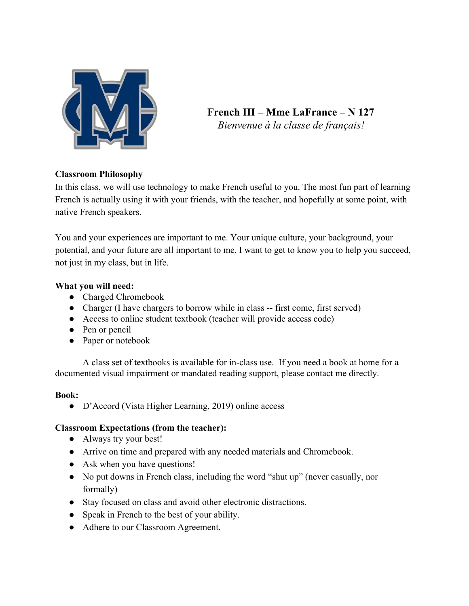

**French III – Mme LaFrance – N 127** *Bienvenue à la classe de français!*

# **Classroom Philosophy**

In this class, we will use technology to make French useful to you. The most fun part of learning French is actually using it with your friends, with the teacher, and hopefully at some point, with native French speakers.

You and your experiences are important to me. Your unique culture, your background, your potential, and your future are all important to me. I want to get to know you to help you succeed, not just in my class, but in life.

## **What you will need:**

- Charged Chromebook
- Charger (I have chargers to borrow while in class -- first come, first served)
- Access to online student textbook (teacher will provide access code)
- Pen or pencil
- Paper or notebook

A class set of textbooks is available for in-class use. If you need a book at home for a documented visual impairment or mandated reading support, please contact me directly.

### **Book:**

● D'Accord (Vista Higher Learning, 2019) online access

# **Classroom Expectations (from the teacher):**

- Always try your best!
- Arrive on time and prepared with any needed materials and Chromebook.
- Ask when you have questions!
- No put downs in French class, including the word "shut up" (never casually, nor formally)
- Stay focused on class and avoid other electronic distractions.
- Speak in French to the best of your ability.
- Adhere to our Classroom Agreement.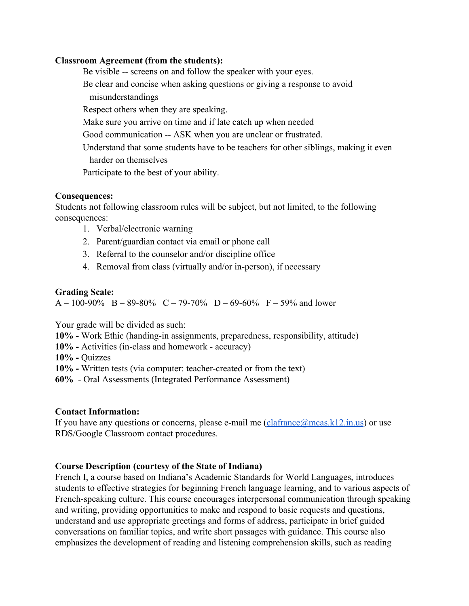#### **Classroom Agreement (from the students):**

Be visible -- screens on and follow the speaker with your eyes. Be clear and concise when asking questions or giving a response to avoid misunderstandings Respect others when they are speaking. Make sure you arrive on time and if late catch up when needed Good communication -- ASK when you are unclear or frustrated. Understand that some students have to be teachers for other siblings, making it even harder on themselves Participate to the best of your ability.

#### **Consequences:**

Students not following classroom rules will be subject, but not limited, to the following consequences:

- 1. Verbal/electronic warning
- 2. Parent/guardian contact via email or phone call
- 3. Referral to the counselor and/or discipline office
- 4. Removal from class (virtually and/or in-person), if necessary

#### **Grading Scale:**

 $A - 100-90\%$  B – 89-80% C – 79-70% D – 69-60% F – 59% and lower

Your grade will be divided as such:

**10% -** Work Ethic (handing-in assignments, preparedness, responsibility, attitude)

**10% -** Activities (in-class and homework - accuracy)

**10% -** Quizzes

**10% -** Written tests (via computer: teacher-created or from the text)

**60%** - Oral Assessments (Integrated Performance Assessment)

### **Contact Information:**

If you have any questions or concerns, please e-mail me  $(claframe@mcas.k12.in.us)$  or use RDS/Google Classroom contact procedures.

### **Course Description (courtesy of the State of Indiana)**

French I, a course based on Indiana's Academic Standards for World Languages, introduces students to effective strategies for beginning French language learning, and to various aspects of French-speaking culture. This course encourages interpersonal communication through speaking and writing, providing opportunities to make and respond to basic requests and questions, understand and use appropriate greetings and forms of address, participate in brief guided conversations on familiar topics, and write short passages with guidance. This course also emphasizes the development of reading and listening comprehension skills, such as reading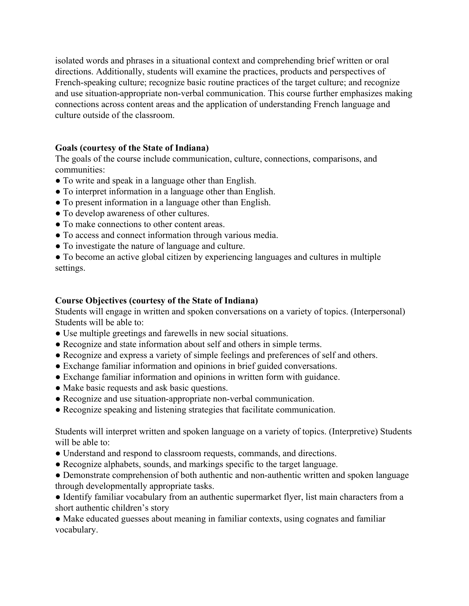isolated words and phrases in a situational context and comprehending brief written or oral directions. Additionally, students will examine the practices, products and perspectives of French-speaking culture; recognize basic routine practices of the target culture; and recognize and use situation-appropriate non-verbal communication. This course further emphasizes making connections across content areas and the application of understanding French language and culture outside of the classroom.

## **Goals (courtesy of the State of Indiana)**

The goals of the course include communication, culture, connections, comparisons, and communities:

- To write and speak in a language other than English.
- To interpret information in a language other than English.
- To present information in a language other than English.
- To develop awareness of other cultures.
- To make connections to other content areas.
- To access and connect information through various media.
- To investigate the nature of language and culture.

● To become an active global citizen by experiencing languages and cultures in multiple settings.

## **Course Objectives (courtesy of the State of Indiana)**

Students will engage in written and spoken conversations on a variety of topics. (Interpersonal) Students will be able to:

- Use multiple greetings and farewells in new social situations.
- Recognize and state information about self and others in simple terms.
- Recognize and express a variety of simple feelings and preferences of self and others.
- Exchange familiar information and opinions in brief guided conversations.
- Exchange familiar information and opinions in written form with guidance.
- Make basic requests and ask basic questions.
- Recognize and use situation-appropriate non-verbal communication.
- Recognize speaking and listening strategies that facilitate communication.

Students will interpret written and spoken language on a variety of topics. (Interpretive) Students will be able to:

- Understand and respond to classroom requests, commands, and directions.
- Recognize alphabets, sounds, and markings specific to the target language.
- Demonstrate comprehension of both authentic and non-authentic written and spoken language through developmentally appropriate tasks.
- Identify familiar vocabulary from an authentic supermarket flyer, list main characters from a short authentic children's story

• Make educated guesses about meaning in familiar contexts, using cognates and familiar vocabulary.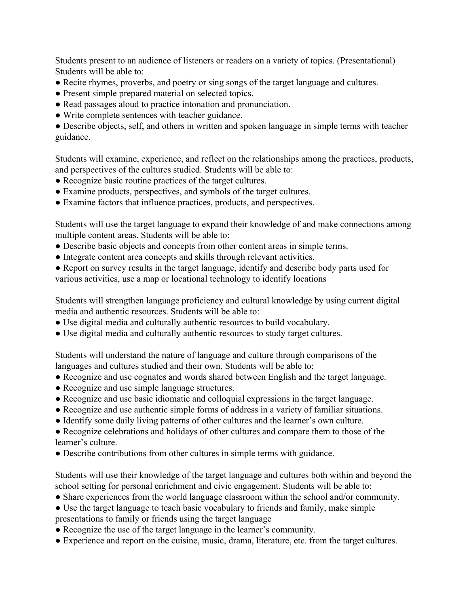Students present to an audience of listeners or readers on a variety of topics. (Presentational) Students will be able to:

- Recite rhymes, proverbs, and poetry or sing songs of the target language and cultures.
- Present simple prepared material on selected topics.
- Read passages aloud to practice intonation and pronunciation.
- Write complete sentences with teacher guidance.

• Describe objects, self, and others in written and spoken language in simple terms with teacher guidance.

Students will examine, experience, and reflect on the relationships among the practices, products, and perspectives of the cultures studied. Students will be able to:

- Recognize basic routine practices of the target cultures.
- Examine products, perspectives, and symbols of the target cultures.
- Examine factors that influence practices, products, and perspectives.

Students will use the target language to expand their knowledge of and make connections among multiple content areas. Students will be able to:

- Describe basic objects and concepts from other content areas in simple terms.
- Integrate content area concepts and skills through relevant activities.
- Report on survey results in the target language, identify and describe body parts used for various activities, use a map or locational technology to identify locations

Students will strengthen language proficiency and cultural knowledge by using current digital media and authentic resources. Students will be able to:

- Use digital media and culturally authentic resources to build vocabulary.
- Use digital media and culturally authentic resources to study target cultures.

Students will understand the nature of language and culture through comparisons of the languages and cultures studied and their own. Students will be able to:

- Recognize and use cognates and words shared between English and the target language.
- Recognize and use simple language structures.
- Recognize and use basic idiomatic and colloquial expressions in the target language.
- Recognize and use authentic simple forms of address in a variety of familiar situations.
- Identify some daily living patterns of other cultures and the learner's own culture.
- Recognize celebrations and holidays of other cultures and compare them to those of the learner's culture.
- Describe contributions from other cultures in simple terms with guidance.

Students will use their knowledge of the target language and cultures both within and beyond the school setting for personal enrichment and civic engagement. Students will be able to:

- Share experiences from the world language classroom within the school and/or community.
- Use the target language to teach basic vocabulary to friends and family, make simple presentations to family or friends using the target language
- Recognize the use of the target language in the learner's community.
- Experience and report on the cuisine, music, drama, literature, etc. from the target cultures.